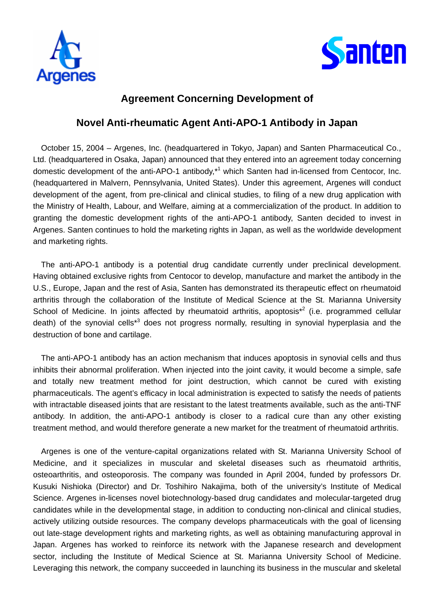



# **Agreement Concerning Development of**

## **Novel Anti-rheumatic Agent Anti-APO-1 Antibody in Japan**

October 15, 2004 – Argenes, Inc. (headquartered in Tokyo, Japan) and Santen Pharmaceutical Co., Ltd. (headquartered in Osaka, Japan) announced that they entered into an agreement today concerning domestic development of the anti-APO-1 antibody,<sup>\*1</sup> which Santen had in-licensed from Centocor, Inc. (headquartered in Malvern, Pennsylvania, United States). Under this agreement, Argenes will conduct development of the agent, from pre-clinical and clinical studies, to filing of a new drug application with the Ministry of Health, Labour, and Welfare, aiming at a commercialization of the product. In addition to granting the domestic development rights of the anti-APO-1 antibody, Santen decided to invest in Argenes. Santen continues to hold the marketing rights in Japan, as well as the worldwide development and marketing rights.

The anti-APO-1 antibody is a potential drug candidate currently under preclinical development. Having obtained exclusive rights from Centocor to develop, manufacture and market the antibody in the U.S., Europe, Japan and the rest of Asia, Santen has demonstrated its therapeutic effect on rheumatoid arthritis through the collaboration of the Institute of Medical Science at the St. Marianna University School of Medicine. In joints affected by rheumatoid arthritis, apoptosis<sup>\*2</sup> (i.e. programmed cellular death) of the synovial cells<sup>\*3</sup> does not progress normally, resulting in synovial hyperplasia and the destruction of bone and cartilage.

The anti-APO-1 antibody has an action mechanism that induces apoptosis in synovial cells and thus inhibits their abnormal proliferation. When injected into the joint cavity, it would become a simple, safe and totally new treatment method for joint destruction, which cannot be cured with existing pharmaceuticals. The agent's efficacy in local administration is expected to satisfy the needs of patients with intractable diseased joints that are resistant to the latest treatments available, such as the anti-TNF antibody. In addition, the anti-APO-1 antibody is closer to a radical cure than any other existing treatment method, and would therefore generate a new market for the treatment of rheumatoid arthritis.

Argenes is one of the venture-capital organizations related with St. Marianna University School of Medicine, and it specializes in muscular and skeletal diseases such as rheumatoid arthritis, osteoarthritis, and osteoporosis. The company was founded in April 2004, funded by professors Dr. Kusuki Nishioka (Director) and Dr. Toshihiro Nakajima, both of the university's Institute of Medical Science. Argenes in-licenses novel biotechnology-based drug candidates and molecular-targeted drug candidates while in the developmental stage, in addition to conducting non-clinical and clinical studies, actively utilizing outside resources. The company develops pharmaceuticals with the goal of licensing out late-stage development rights and marketing rights, as well as obtaining manufacturing approval in Japan. Argenes has worked to reinforce its network with the Japanese research and development sector, including the Institute of Medical Science at St. Marianna University School of Medicine. Leveraging this network, the company succeeded in launching its business in the muscular and skeletal